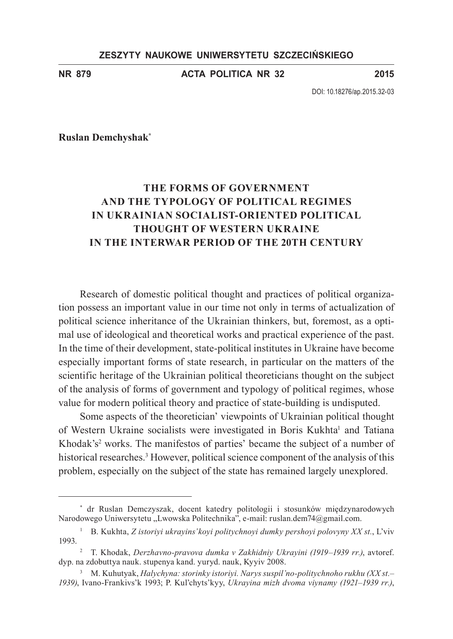## **ZESZYTY NAUKOWE UNIWERSYTETU SZCZECIŃSKIEGO**

**NR 879 ACTA POLITICA NR 32 2015**

DOI: 10.18276/ap.2015.32-03

**Ruslan Demchyshak\***

# **The forms of government and the typology of political regimes in Ukrainian socialist-oriented political thought of Western Ukraine in the interwar period of the 20th century**

Research of domestic political thought and practices of political organization possess an important value in our time not only in terms of actualization of political science inheritance of the Ukrainian thinkers, but, foremost, as a optimal use of ideological and theoretical works and practical experience of the past. In the time of their development, state-political institutes in Ukraine have become especially important forms of state research, in particular on the matters of the scientific heritage of the Ukrainian political theoreticians thought on the subject of the analysis of forms of government and typology of political regimes, whose value for modern political theory and practice of state-building is undisputed.

Some aspects of the theoretician' viewpoints of Ukrainian political thought of Western Ukraine socialists were investigated in Boris Kukhta<sup>1</sup> and Tatiana Khodak's<sup>2</sup> works. The manifestos of parties' became the subject of a number of historical researches.<sup>3</sup> However, political science component of the analysis of this problem, especially on the subject of the state has remained largely unexplored.

<sup>\*</sup> dr Ruslan Demczyszak, docent katedry politologii i stosunków międzynarodowych Narodowego Uniwersytetu "Lwowska Politechnika", e-mail: ruslan.dem74@gmail.com.

<sup>1</sup> B. Kukhta, *Z istoriyi ukrayins'koyi politychnoyi dumky pershoyi polovyny ХХ st.*, L'viv 1993.

<sup>2</sup> T. Khodak, *Derzhavno-pravova dumka v Zakhidniy Ukrayini (1919–1939 rr.)*, avtoref. dyp. na zdobuttya nauk. stupenya kand. yuryd. nauk, Kyyiv 2008.

<sup>3</sup> M. Kuhutyak, *Halychyna: storinky istoriyi. Narys suspil'no-politychnoho rukhu (ХХ st.– 1939)*, Ivano-Frankivs'k 1993; P. Kul'chyts'kyy, *Ukrayina mizh dvoma viynamy (1921–1939 rr.)*,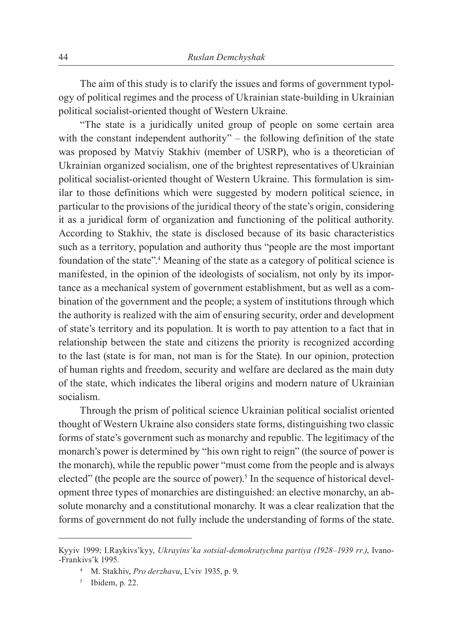The aim of this study is to clarify the issues and forms of government typology of political regimes and the process of Ukrainian state-building in Ukrainian political socialist-oriented thought of Western Ukraine.

"The state is a juridically united group of people on some certain area with the constant independent authority" – the following definition of the state was proposed by Matviy Stakhiv (member of USRP), who is a theoretician of Ukrainian organized socialism, one of the brightest representatives of Ukrainian political socialist-oriented thought of Western Ukraine. This formulation is similar to those definitions which were suggested by modern political science, in particular to the provisions of the juridical theory of the state's origin, considering it as a juridical form of organization and functioning of the political authority. According to Stakhiv, the state is disclosed because of its basic characteristics such as a territory, population and authority thus "people are the most important foundation of the state".4 Meaning of the state as a category of political science is manifested, in the opinion of the ideologists of socialism, not only by its importance as a mechanical system of government establishment, but as well as a combination of the government and the people; a system of institutions through which the authority is realized with the aim of ensuring security, order and development of state's territory and its population. It is worth to pay attention to a fact that in relationship between the state and citizens the priority is recognized according to the last (state is for man, not man is for the State). In our opinion, protection of human rights and freedom, security and welfare are declared as the main duty of the state, which indicates the liberal origins and modern nature of Ukrainian socialism.

Through the prism of political science Ukrainian political socialist oriented thought of Western Ukraine also considers state forms, distinguishing two classic forms of state's government such as monarchy and republic. The legitimacy of the monarch's power is determined by "his own right to reign" (the source of power is the monarch), while the republic power "must come from the people and is always elected" (the people are the source of power).<sup>5</sup> In the sequence of historical development three types of monarchies are distinguished: an elective monarchy, an absolute monarchy and a constitutional monarchy. It was a clear realization that the forms of government do not fully include the understanding of forms of the state.

Kyyiv 1999; I.Raykivs'kyy, *Ukrayins'ka sotsial-demokratychna partiya (1928–1939 rr.)*, Ivano- -Frankivs'k 1995.

<sup>4</sup> M. Stakhiv, *Pro derzhavu*, L'viv 1935, p. 9.

<sup>5</sup> Ibidem, p. 22.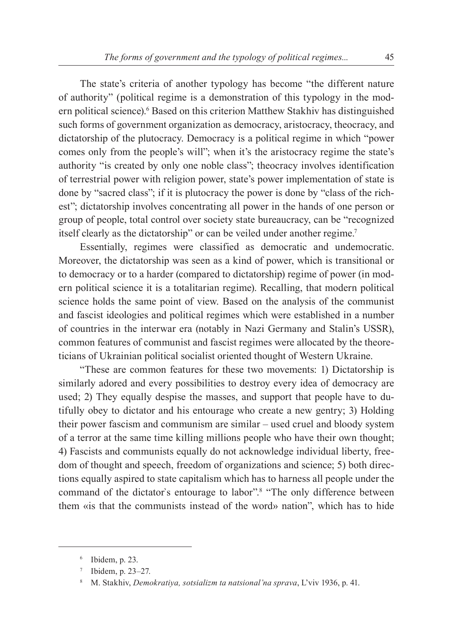The state's criteria of another typology has become "the different nature of authority" (political regime is a demonstration of this typology in the modern political science).<sup>6</sup> Based on this criterion Matthew Stakhiv has distinguished such forms of government organization as democracy, aristocracy, theocracy, and dictatorship of the plutocracy. Democracy is a political regime in which "power comes only from the people's will"; when it's the aristocracy regime the state's authority "is created by only one noble class"; theocracy involves identification of terrestrial power with religion power, state's power implementation of state is done by "sacred class"; if it is plutocracy the power is done by "class of the richest"; dictatorship involves concentrating all power in the hands of one person or group of people, total control over society state bureaucracy, can be "recognized itself clearly as the dictatorship" or can be veiled under another regime.7

Essentially, regimes were classified as democratic and undemocratic. Moreover, the dictatorship was seen as a kind of power, which is transitional or to democracy or to a harder (compared to dictatorship) regime of power (in modern political science it is a totalitarian regime). Recalling, that modern political science holds the same point of view. Based on the analysis of the communist and fascist ideologies and political regimes which were established in a number of countries in the interwar era (notably in Nazi Germany and Stalin's USSR), common features of communist and fascist regimes were allocated by the theoreticians of Ukrainian political socialist oriented thought of Western Ukraine.

"These are common features for these two movements: 1) Dictatorship is similarly adored and every possibilities to destroy every idea of democracy are used; 2) They equally despise the masses, and support that people have to dutifully obey to dictator and his entourage who create a new gentry; 3) Holding their power fascism and communism are similar – used cruel and bloody system of a terror at the same time killing millions people who have their own thought; 4) Fascists and communists equally do not acknowledge individual liberty, freedom of thought and speech, freedom of organizations and science; 5) both directions equally aspired to state capitalism which has to harness all people under the command of the dictator`s entourage to labor".8 "The only difference between them «is that the communists instead of the word» nation", which has to hide

<sup>6</sup> Ibidem, p. 23.

<sup>7</sup> Ibidem, p. 23–27.

<sup>8</sup> M. Stakhiv, *Demokratiya, sotsializm ta natsional'na sprava*, L'viv 1936, p. 41.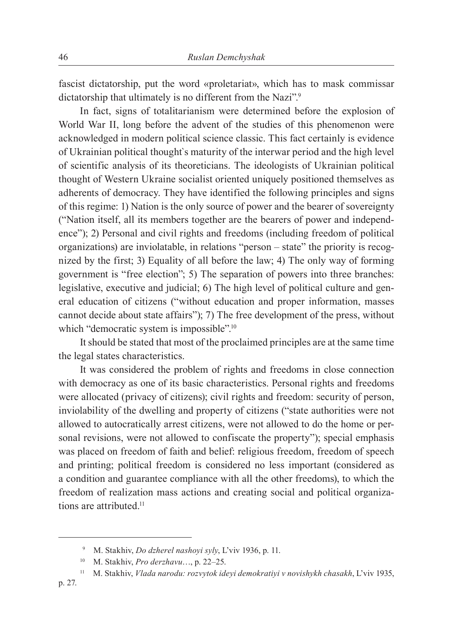fascist dictatorship, put the word «proletariat», which has to mask commissar dictatorship that ultimately is no different from the Nazi".<sup>9</sup>

In fact, signs of totalitarianism were determined before the explosion of World War II, long before the advent of the studies of this phenomenon were acknowledged in modern political science classic. This fact certainly is evidence of Ukrainian political thought`s maturity of the interwar period and the high level of scientific analysis of its theoreticians. The ideologists of Ukrainian political thought of Western Ukraine socialist oriented uniquely positioned themselves as adherents of democracy. They have identified the following principles and signs of this regime: 1) Nation is the only source of power and the bearer of sovereignty ("Nation itself, all its members together are the bearers of power and independence"); 2) Personal and civil rights and freedoms (including freedom of political organizations) are inviolatable, in relations "person – state" the priority is recognized by the first; 3) Equality of all before the law; 4) The only way of forming government is "free election"; 5) The separation of powers into three branches: legislative, executive and judicial; 6) The high level of political culture and general education of citizens ("without education and proper information, masses cannot decide about state affairs"); 7) The free development of the press, without which "democratic system is impossible".<sup>10</sup>

It should be stated that most of the proclaimed principles are at the same time the legal states characteristics.

It was considered the problem of rights and freedoms in close connection with democracy as one of its basic characteristics. Personal rights and freedoms were allocated (privacy of citizens); civil rights and freedom: security of person, inviolability of the dwelling and property of citizens ("state authorities were not allowed to autocratically arrest citizens, were not allowed to do the home or personal revisions, were not allowed to confiscate the property"); special emphasis was placed on freedom of faith and belief: religious freedom, freedom of speech and printing; political freedom is considered no less important (considered as a condition and guarantee compliance with all the other freedoms), to which the freedom of realization mass actions and creating social and political organizations are attributed.<sup>11</sup>

<sup>9</sup> M. Stakhiv, *Do dzherel nashoyi syly*, L'viv 1936, p. 11.

<sup>10</sup> M. Stakhiv, *Pro derzhavu*…, p. 22–25.

<sup>11</sup> M. Stakhiv, *Vlada narodu: rozvytok ideyi demokratiyi v novishykh chasakh*, L'viv 1935,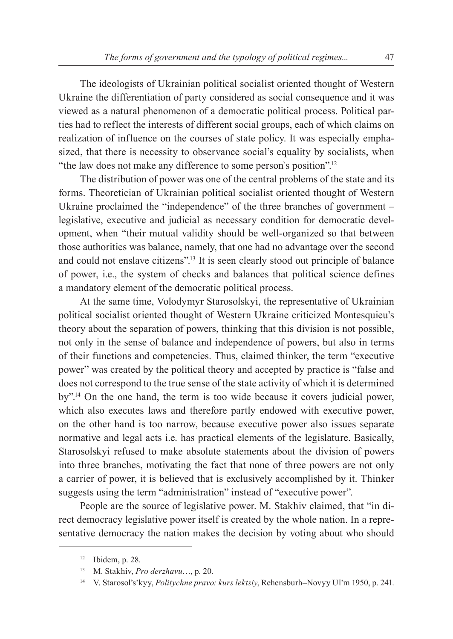The ideologists of Ukrainian political socialist oriented thought of Western Ukraine the differentiation of party considered as social consequence and it was viewed as a natural phenomenon of a democratic political process. Political parties had to reflect the interests of different social groups, each of which claims on realization of influence on the courses of state policy. It was especially emphasized, that there is necessity to observance social's equality by socialists, when "the law does not make any difference to some person's position".<sup>12</sup>

The distribution of power was one of the central problems of the state and its forms. Theoretician of Ukrainian political socialist oriented thought of Western Ukraine proclaimed the "independence" of the three branches of government – legislative, executive and judicial as necessary condition for democratic development, when "their mutual validity should be well-organized so that between those authorities was balance, namely, that one had no advantage over the second and could not enslave citizens".13 It is seen clearly stood out principle of balance of power, i.e., the system of checks and balances that political science defines a mandatory element of the democratic political process.

At the same time, Volodymyr Starosolskyi, the representative of Ukrainian political socialist oriented thought of Western Ukraine criticized Montesquieu's theory about the separation of powers, thinking that this division is not possible, not only in the sense of balance and independence of powers, but also in terms of their functions and competencies. Thus, claimed thinker, the term "executive power" was created by the political theory and accepted by practice is "false and does not correspond to the true sense of the state activity of which it is determined by".14 On the one hand, the term is too wide because it covers judicial power, which also executes laws and therefore partly endowed with executive power, on the other hand is too narrow, because executive power also issues separate normative and legal acts i.e. has practical elements of the legislature. Basically, Starosolskyi refused to make absolute statements about the division of powers into three branches, motivating the fact that none of three powers are not only a carrier of power, it is believed that is exclusively accomplished by it. Thinker suggests using the term "administration" instead of "executive power".

People are the source of legislative power. M. Stakhiv claimed, that "in direct democracy legislative power itself is created by the whole nation. In a representative democracy the nation makes the decision by voting about who should

<sup>12</sup> Ibidem, p. 28.

<sup>13</sup> M. Stakhiv, *Pro derzhavu*…, p. 20.

<sup>14</sup> V. Starosol's'kyy, *Politychne pravo: kurs lektsiy*, Rehensburh–Novyy Ul'm 1950, p. 241.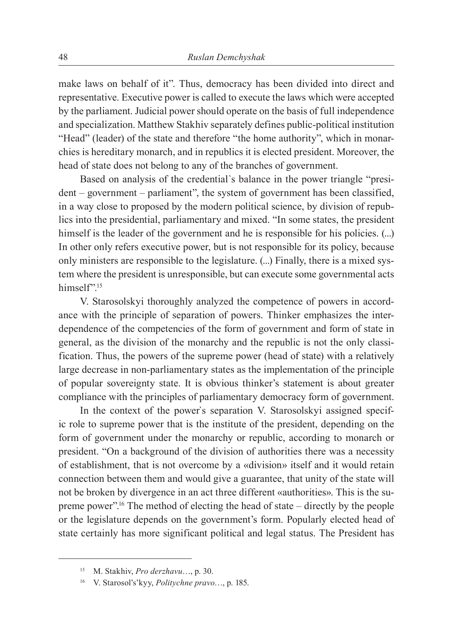make laws on behalf of it". Thus, democracy has been divided into direct and representative. Executive power is called to execute the laws which were accepted by the parliament. Judicial power should operate on the basis of full independence and specialization. Matthew Stakhiv separately defines public-political institution "Head" (leader) of the state and therefore "the home authority", which in monarchies is hereditary monarch, and in republics it is elected president. Moreover, the head of state does not belong to any of the branches of government.

Based on analysis of the credential`s balance in the power triangle "president – government – parliament", the system of government has been classified, in a way close to proposed by the modern political science, by division of republics into the presidential, parliamentary and mixed. "In some states, the president himself is the leader of the government and he is responsible for his policies.  $(\ldots)$ In other only refers executive power, but is not responsible for its policy, because only ministers are responsible to the legislature. (...) Finally, there is a mixed system where the president is unresponsible, but can execute some governmental acts himself".<sup>15</sup>

V. Starosolskyi thoroughly analyzed the competence of powers in accordance with the principle of separation of powers. Thinker emphasizes the interdependence of the competencies of the form of government and form of state in general, as the division of the monarchy and the republic is not the only classification. Thus, the powers of the supreme power (head of state) with a relatively large decrease in non-parliamentary states as the implementation of the principle of popular sovereignty state. It is obvious thinker's statement is about greater compliance with the principles of parliamentary democracy form of government.

In the context of the power`s separation V. Starosolskyi assigned specific role to supreme power that is the institute of the president, depending on the form of government under the monarchy or republic, according to monarch or president. "On a background of the division of authorities there was a necessity of establishment, that is not overcome by a «division» itself and it would retain connection between them and would give a guarantee, that unity of the state will not be broken by divergence in an act three different «authorities». This is the supreme power".16 The method of electing the head of state – directly by the people or the legislature depends on the government's form. Popularly elected head of state certainly has more significant political and legal status. The President has

<sup>15</sup> M. Stakhiv, *Pro derzhavu*…, p. 30.

<sup>16</sup> V. Starosol's'kyy, *Politychne pravo*…, p. 185.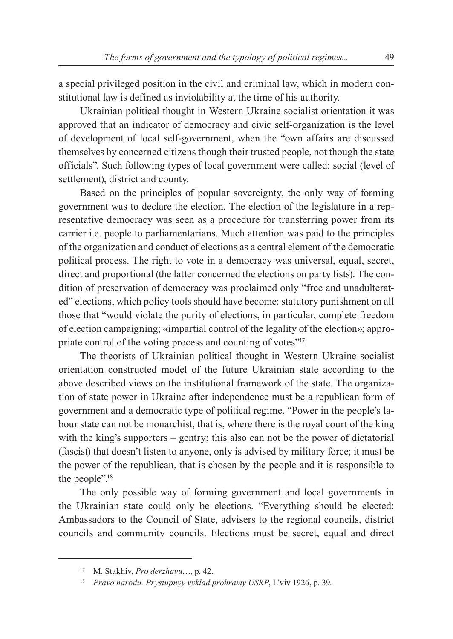a special privileged position in the civil and criminal law, which in modern constitutional law is defined as inviolability at the time of his authority.

Ukrainian political thought in Western Ukraine socialist orientation it was approved that an indicator of democracy and civic self-organization is the level of development of local self-government, when the "own affairs are discussed themselves by concerned citizens though their trusted people, not though the state officials". Such following types of local government were called: social (level of settlement), district and county.

Based on the principles of popular sovereignty, the only way of forming government was to declare the election. The election of the legislature in a representative democracy was seen as a procedure for transferring power from its carrier i.e. people to parliamentarians. Much attention was paid to the principles of the organization and conduct of elections as a central element of the democratic political process. The right to vote in a democracy was universal, equal, secret, direct and proportional (the latter concerned the elections on party lists). The condition of preservation of democracy was proclaimed only "free and unadulterated" elections, which policy tools should have become: statutory punishment on all those that "would violate the purity of elections, in particular, complete freedom of election campaigning; «impartial control of the legality of the election»; appropriate control of the voting process and counting of votes"<sup>17</sup>.

The theorists of Ukrainian political thought in Western Ukraine socialist orientation constructed model of the future Ukrainian state according to the above described views on the institutional framework of the state. The organization of state power in Ukraine after independence must be a republican form of government and a democratic type of political regime. "Power in the people's labour state can not be monarchist, that is, where there is the royal court of the king with the king's supporters – gentry; this also can not be the power of dictatorial (fascist) that doesn't listen to anyone, only is advised by military force; it must be the power of the republican, that is chosen by the people and it is responsible to the people".<sup>18</sup>

The only possible way of forming government and local governments in the Ukrainian state could only be elections. "Everything should be elected: Ambassadors to the Council of State, advisers to the regional councils, district councils and community councils. Elections must be secret, equal and direct

<sup>17</sup> M. Stakhiv, *Pro derzhavu*…, p. 42.

<sup>18</sup> *Pravo narodu. Prystupnyy vyklad prohramy USRP*, L'viv 1926, p. 39.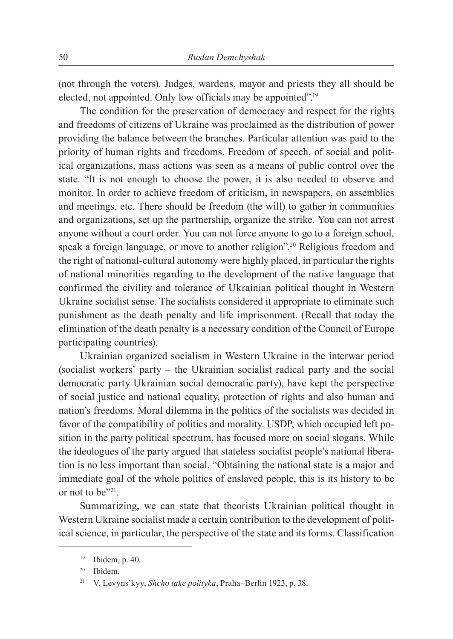(not through the voters). Judges, wardens, mayor and priests they all should be elected, not appointed. Only low officials may be appointed".<sup>19</sup>

The condition for the preservation of democracy and respect for the rights and freedoms of citizens of Ukraine was proclaimed as the distribution of power providing the balance between the branches. Particular attention was paid to the priority of human rights and freedoms. Freedom of speech, of social and political organizations, mass actions was seen as a means of public control over the state. "It is not enough to choose the power, it is also needed to observe and monitor. In order to achieve freedom of criticism, in newspapers, on assemblies and meetings, etc. There should be freedom (the will) to gather in communities and organizations, set up the partnership, organize the strike. You can not arrest anyone without a court order. You can not force anyone to go to a foreign school, speak a foreign language, or move to another religion".20 Religious freedom and the right of national-cultural autonomy were highly placed, in particular the rights of national minorities regarding to the development of the native language that confirmed the civility and tolerance of Ukrainian political thought in Western Ukraine socialist sense. The socialists considered it appropriate to eliminate such punishment as the death penalty and life imprisonment. (Recall that today the elimination of the death penalty is a necessary condition of the Council of Europe participating countries).

Ukrainian organized socialism in Western Ukraine in the interwar period (socialist workers' party – the Ukrainian socialist radical party and the social democratic party Ukrainian social democratic party), have kept the perspective of social justice and national equality, protection of rights and also human and nation's freedoms. Moral dilemma in the politics of the socialists was decided in favor of the compatibility of politics and morality. USDP, which occupied left position in the party political spectrum, has focused more on social slogans. While the ideologues of the party argued that stateless socialist people's national liberation is no less important than social. "Obtaining the national state is a major and immediate goal of the whole politics of enslaved people, this is its history to be or not to be"21.

Summarizing, we can state that theorists Ukrainian political thought in Western Ukraine socialist made a certain contribution to the development of political science, in particular, the perspective of the state and its forms. Classification

<sup>19</sup> Ibidem, p. 40.

<sup>20</sup> Ibidem.

<sup>21</sup> V. Levyns'kyy, *Shcho take polityka*, Praha–Berlin 1923, p. 38.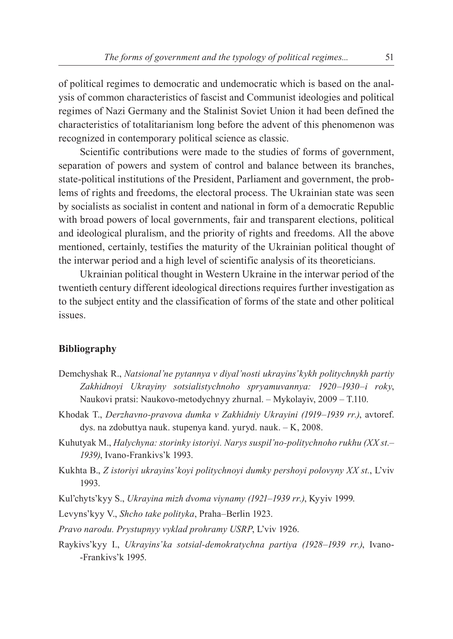of political regimes to democratic and undemocratic which is based on the analysis of common characteristics of fascist and Communist ideologies and political regimes of Nazi Germany and the Stalinist Soviet Union it had been defined the characteristics of totalitarianism long before the advent of this phenomenon was recognized in contemporary political science as classic.

Scientific contributions were made to the studies of forms of government, separation of powers and system of control and balance between its branches, state-political institutions of the President, Parliament and government, the problems of rights and freedoms, the electoral process. The Ukrainian state was seen by socialists as socialist in content and national in form of a democratic Republic with broad powers of local governments, fair and transparent elections, political and ideological pluralism, and the priority of rights and freedoms. All the above mentioned, certainly, testifies the maturity of the Ukrainian political thought of the interwar period and a high level of scientific analysis of its theoreticians.

Ukrainian political thought in Western Ukraine in the interwar period of the twentieth century different ideological directions requires further investigation as to the subject entity and the classification of forms of the state and other political issues.

### **Bibliography**

- Demchyshak R., *Natsional'ne pytannya v diyal'nosti ukrayins'kykh politychnykh partiy Zakhidnoyi Ukrayiny sotsialistychnoho spryamuvannya: 1920–1930–i roky*, Naukovi pratsi: Naukovo-metodychnyy zhurnal. – Mykolayiv, 2009 – T.110.
- Khodak T., *Derzhavno-pravova dumka v Zakhidniy Ukrayini (1919–1939 rr.)*, avtoref. dys. na zdobuttya nauk. stupenya kand. yuryd. nauk. – K, 2008.
- Kuhutyak M., *Halychyna: storinky istoriyi. Narys suspil'no-politychnoho rukhu (ХХ st.– 1939)*, Ivano-Frankivs'k 1993.
- Kukhta B., *Z istoriyi ukrayins'koyi politychnoyi dumky pershoyi polovyny ХХ st.*, L'viv 1993.
- Kul'chyts'kyy S., *Ukrayina mizh dvoma viynamy (1921–1939 rr.)*, Kyyiv 1999.

Levyns'kyy V., *Shcho take polityka*, Praha–Berlin 1923.

*Pravo narodu. Prystupnyy vyklad prohramy USRP*, L'viv 1926.

Raykivs'kyy I., *Ukrayins'ka sotsial-demokratychna partiya (1928–1939 rr.)*, Ivano- -Frankivs'k 1995.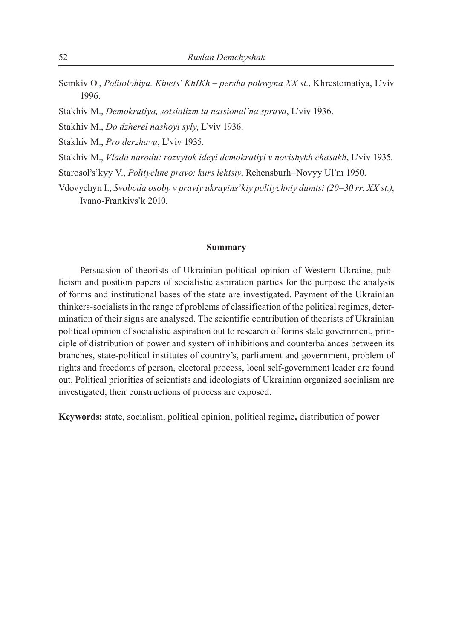- Semkiv O., *Politolohiya. Kinets' KhIKh persha polovyna ХХ st.*, Khrestomatiya, L'viv 1996.
- Stakhiv M., *Demokratiya, sotsializm ta natsional'na sprava*, L'viv 1936.
- Stakhiv M., *Do dzherel nashoyi syly*, L'viv 1936.
- Stakhiv M., *Pro derzhavu*, L'viv 1935.
- Stakhiv M., *Vlada narodu: rozvytok ideyi demokratiyi v novishykh chasakh*, L'viv 1935.
- Starosol's'kyy V., *Politychne pravo: kurs lektsiy*, Rehensburh–Novyy Ul'm 1950.
- Vdovychyn I., *Svoboda osoby v praviy ukrayins'kiy politychniy dumtsi (20–30 rr. ХХ st.)*, Ivano-Frankivs'k 2010.

#### **Summary**

Persuasion of theorists of Ukrainian political opinion of Western Ukraine, publicism and position papers of socialistic aspiration parties for the purpose the analysis of forms and institutional bases of the state are investigated. Payment of the Ukrainian thinkers-socialists in the range of problems of classification of the political regimes, determination of their signs are analysed. The scientific contribution of theorists of Ukrainian political opinion of socialistic aspiration out to research of forms state government, principle of distribution of power and system of inhibitions and counterbalances between its branches, state-political institutes of country's, parliament and government, problem of rights and freedoms of person, electoral process, local self-government leader are found out. Political priorities of scientists and ideologists of Ukrainian organized socialism are investigated, their constructions of process are exposed.

**Keywords:** state, socialism, political opinion, political regime**,** distribution of power